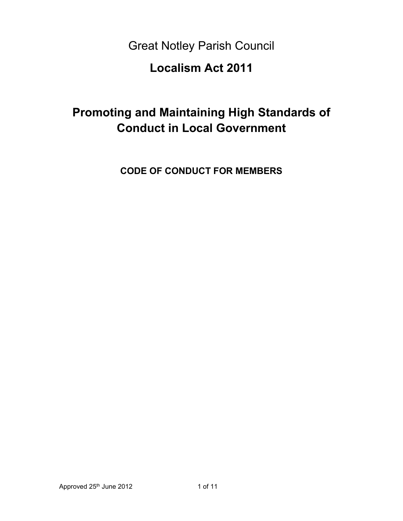Great Notley Parish Council

# **Localism Act 2011**

# **Promoting and Maintaining High Standards of Conduct in Local Government**

**CODE OF CONDUCT FOR MEMBERS**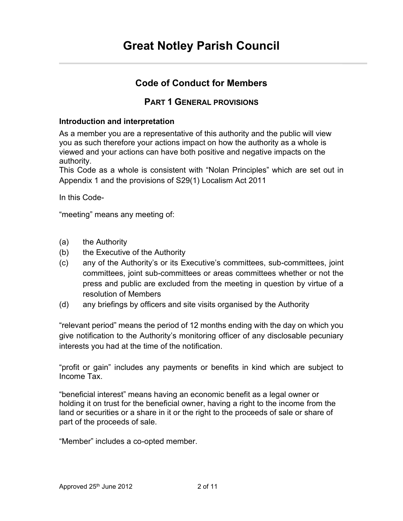# **Code of Conduct for Members**

# **PART 1 GENERAL PROVISIONS**

#### **Introduction and interpretation**

As a member you are a representative of this authority and the public will view you as such therefore your actions impact on how the authority as a whole is viewed and your actions can have both positive and negative impacts on the authority.

This Code as a whole is consistent with "Nolan Principles" which are set out in Appendix 1 and the provisions of S29(1) Localism Act 2011

In this Code-

"meeting" means any meeting of:

- (a) the Authority
- (b) the Executive of the Authority
- (c) any of the Authority's or its Executive's committees, sub-committees, joint committees, joint sub-committees or areas committees whether or not the press and public are excluded from the meeting in question by virtue of a resolution of Members
- (d) any briefings by officers and site visits organised by the Authority

"relevant period" means the period of 12 months ending with the day on which you give notification to the Authority's monitoring officer of any disclosable pecuniary interests you had at the time of the notification.

"profit or gain" includes any payments or benefits in kind which are subject to Income Tax.

"beneficial interest" means having an economic benefit as a legal owner or holding it on trust for the beneficial owner, having a right to the income from the land or securities or a share in it or the right to the proceeds of sale or share of part of the proceeds of sale.

"Member" includes a co-opted member.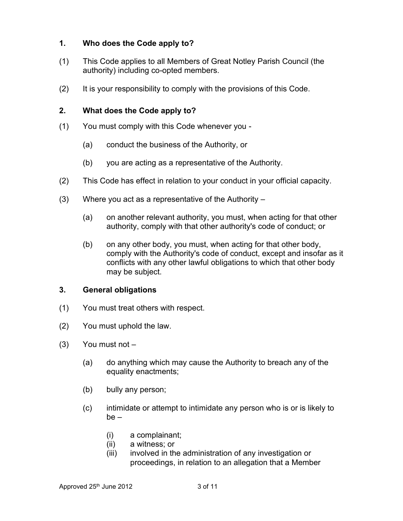### **1. Who does the Code apply to?**

- (1) This Code applies to all Members of Great Notley Parish Council (the authority) including co-opted members.
- (2) It is your responsibility to comply with the provisions of this Code.

#### **2. What does the Code apply to?**

- (1) You must comply with this Code whenever you
	- (a) conduct the business of the Authority, or
	- (b) you are acting as a representative of the Authority.
- (2) This Code has effect in relation to your conduct in your official capacity.
- (3) Where you act as a representative of the Authority
	- (a) on another relevant authority, you must, when acting for that other authority, comply with that other authority's code of conduct; or
	- (b) on any other body, you must, when acting for that other body, comply with the Authority's code of conduct, except and insofar as it conflicts with any other lawful obligations to which that other body may be subject.

#### **3. General obligations**

- (1) You must treat others with respect.
- (2) You must uphold the law.
- (3) You must not
	- (a) do anything which may cause the Authority to breach any of the equality enactments;
	- (b) bully any person;
	- (c) intimidate or attempt to intimidate any person who is or is likely to be –
		- (i) a complainant;
		- (ii) a witness; or
		- (iii) involved in the administration of any investigation or proceedings, in relation to an allegation that a Member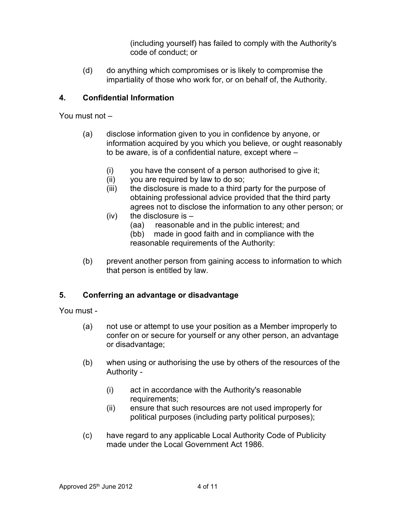(including yourself) has failed to comply with the Authority's code of conduct; or

(d) do anything which compromises or is likely to compromise the impartiality of those who work for, or on behalf of, the Authority.

### **4. Confidential Information**

You must not –

- (a) disclose information given to you in confidence by anyone, or information acquired by you which you believe, or ought reasonably to be aware, is of a confidential nature, except where –
	- (i) you have the consent of a person authorised to give it;
	- (ii) you are required by law to do so;
	- (iii) the disclosure is made to a third party for the purpose of obtaining professional advice provided that the third party agrees not to disclose the information to any other person; or
	- $(iv)$  the disclosure is  $-$ 
		- (aa) reasonable and in the public interest; and
		- (bb) made in good faith and in compliance with the reasonable requirements of the Authority:
- (b) prevent another person from gaining access to information to which that person is entitled by law.

## **5. Conferring an advantage or disadvantage**

You must -

- (a) not use or attempt to use your position as a Member improperly to confer on or secure for yourself or any other person, an advantage or disadvantage;
- (b) when using or authorising the use by others of the resources of the Authority -
	- (i) act in accordance with the Authority's reasonable requirements;
	- (ii) ensure that such resources are not used improperly for political purposes (including party political purposes);
- (c) have regard to any applicable Local Authority Code of Publicity made under the Local Government Act 1986.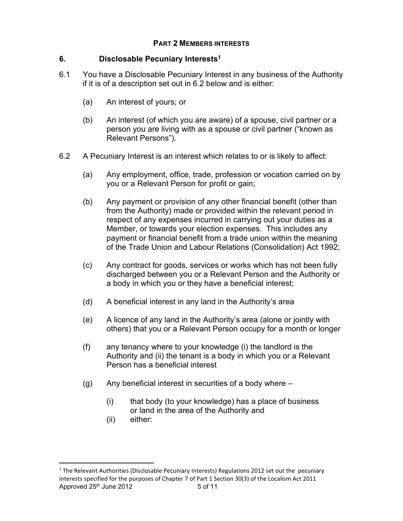#### **PART 2 MEMBERS INTERESTS**

#### **6. Disclosable Pecuniary Interests<sup>1</sup>**

- 6.1 You have a Disclosable Pecuniary Interest in any business of the Authority if it is of a description set out in 6.2 below and is either:
	- (a) An interest of yours; or
	- (b) An interest (of which you are aware) of a spouse, civil partner or a person you are living with as a spouse or civil partner ("known as Relevant Persons").
- 6.2 A Pecuniary Interest is an interest which relates to or is likely to affect:
	- (a) Any employment, office, trade, profession or vocation carried on by you or a Relevant Person for profit or gain;
	- (b) Any payment or provision of any other financial benefit (other than from the Authority) made or provided within the relevant period in respect of any expenses incurred in carrying out your duties as a Member, or towards your election expenses. This includes any payment or financial benefit from a trade union within the meaning of the Trade Union and Labour Relations (Consolidation) Act 1992;
	- (c) Any contract for goods, services or works which has not been fully discharged between you or a Relevant Person and the Authority or a body in which you or they have a beneficial interest;
	- (d) A beneficial interest in any land in the Authority's area
	- (e) A licence of any land in the Authority's area (alone or jointly with others) that you or a Relevant Person occupy for a month or longer
	- (f) any tenancy where to your knowledge (i) the landlord is the Authority and (ii) the tenant is a body in which you or a Relevant Person has a beneficial interest
	- (g) Any beneficial interest in securities of a body where
		- (i) that body (to your knowledge) has a place of business or land in the area of the Authority and
		- (ii) either:

Approved  $25<sup>th</sup>$  June 2012 5 of 11  $<sup>1</sup>$  The Relevant Authorities (Disclosable Pecuniary Interests) Regulations 2012 set out the pecuniary</sup> interests specified for the purposes of Chapter 7 of Part 1 Section 30(3) of the Localism Act 2011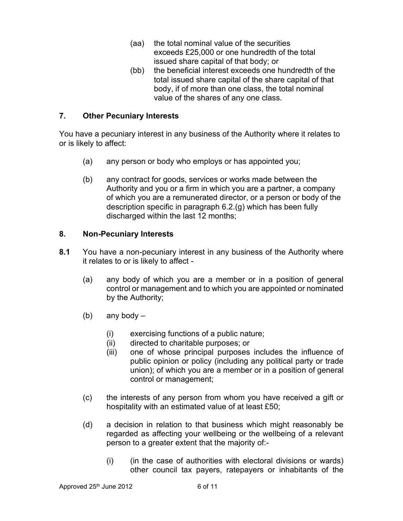- (aa) the total nominal value of the securities exceeds £25,000 or one hundredth of the total issued share capital of that body; or
- (bb) the beneficial interest exceeds one hundredth of the total issued share capital of the share capital of that body, if of more than one class, the total nominal value of the shares of any one class.

#### **7. Other Pecuniary Interests**

You have a pecuniary interest in any business of the Authority where it relates to or is likely to affect:

- (a) any person or body who employs or has appointed you;
- (b) any contract for goods, services or works made between the Authority and you or a firm in which you are a partner, a company of which you are a remunerated director, or a person or body of the description specific in paragraph 6.2.(g) which has been fully discharged within the last 12 months;

#### **8. Non-Pecuniary Interests**

- **8.1** You have a non-pecuniary interest in any business of the Authority where it relates to or is likely to affect -
	- (a) any body of which you are a member or in a position of general control or management and to which you are appointed or nominated by the Authority;
	- (b) any body  $-$ 
		- (i) exercising functions of a public nature;
		- (ii) directed to charitable purposes; or
		- (iii) one of whose principal purposes includes the influence of public opinion or policy (including any political party or trade union); of which you are a member or in a position of general control or management;
	- (c) the interests of any person from whom you have received a gift or hospitality with an estimated value of at least £50;
	- (d) a decision in relation to that business which might reasonably be regarded as affecting your wellbeing or the wellbeing of a relevant person to a greater extent that the majority of:-
		- (i) (in the case of authorities with electoral divisions or wards) other council tax payers, ratepayers or inhabitants of the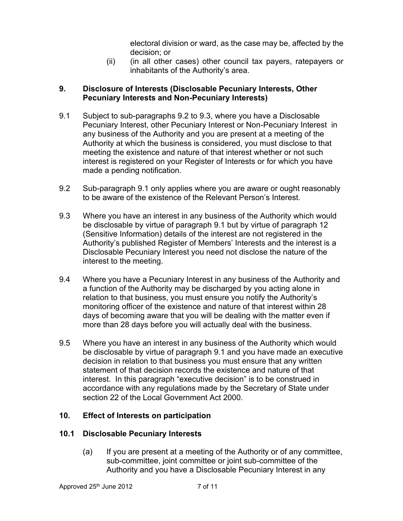electoral division or ward, as the case may be, affected by the decision; or

(ii) (in all other cases) other council tax payers, ratepayers or inhabitants of the Authority's area.

### **9. Disclosure of Interests (Disclosable Pecuniary Interests, Other Pecuniary Interests and Non-Pecuniary Interests)**

- 9.1 Subject to sub-paragraphs 9.2 to 9.3, where you have a Disclosable Pecuniary Interest, other Pecuniary Interest or Non-Pecuniary Interest in any business of the Authority and you are present at a meeting of the Authority at which the business is considered, you must disclose to that meeting the existence and nature of that interest whether or not such interest is registered on your Register of Interests or for which you have made a pending notification.
- 9.2 Sub-paragraph 9.1 only applies where you are aware or ought reasonably to be aware of the existence of the Relevant Person's Interest.
- 9.3 Where you have an interest in any business of the Authority which would be disclosable by virtue of paragraph 9.1 but by virtue of paragraph 12 (Sensitive Information) details of the interest are not registered in the Authority's published Register of Members' Interests and the interest is a Disclosable Pecuniary Interest you need not disclose the nature of the interest to the meeting.
- 9.4 Where you have a Pecuniary Interest in any business of the Authority and a function of the Authority may be discharged by you acting alone in relation to that business, you must ensure you notify the Authority's monitoring officer of the existence and nature of that interest within 28 days of becoming aware that you will be dealing with the matter even if more than 28 days before you will actually deal with the business.
- 9.5 Where you have an interest in any business of the Authority which would be disclosable by virtue of paragraph 9.1 and you have made an executive decision in relation to that business you must ensure that any written statement of that decision records the existence and nature of that interest. In this paragraph "executive decision" is to be construed in accordance with any regulations made by the Secretary of State under section 22 of the Local Government Act 2000.

## **10. Effect of Interests on participation**

## **10.1 Disclosable Pecuniary Interests**

(a) If you are present at a meeting of the Authority or of any committee, sub-committee, joint committee or joint sub-committee of the Authority and you have a Disclosable Pecuniary Interest in any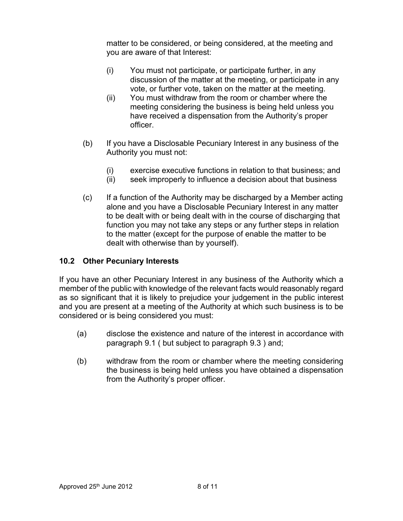matter to be considered, or being considered, at the meeting and you are aware of that Interest:

- (i) You must not participate, or participate further, in any discussion of the matter at the meeting, or participate in any vote, or further vote, taken on the matter at the meeting.
- (ii) You must withdraw from the room or chamber where the meeting considering the business is being held unless you have received a dispensation from the Authority's proper officer.
- (b) If you have a Disclosable Pecuniary Interest in any business of the Authority you must not:
	- (i) exercise executive functions in relation to that business; and
	- (ii) seek improperly to influence a decision about that business
- (c) If a function of the Authority may be discharged by a Member acting alone and you have a Disclosable Pecuniary Interest in any matter to be dealt with or being dealt with in the course of discharging that function you may not take any steps or any further steps in relation to the matter (except for the purpose of enable the matter to be dealt with otherwise than by yourself).

## **10.2 Other Pecuniary Interests**

If you have an other Pecuniary Interest in any business of the Authority which a member of the public with knowledge of the relevant facts would reasonably regard as so significant that it is likely to prejudice your judgement in the public interest and you are present at a meeting of the Authority at which such business is to be considered or is being considered you must:

- (a) disclose the existence and nature of the interest in accordance with paragraph 9.1 ( but subject to paragraph 9.3 ) and;
- (b) withdraw from the room or chamber where the meeting considering the business is being held unless you have obtained a dispensation from the Authority's proper officer.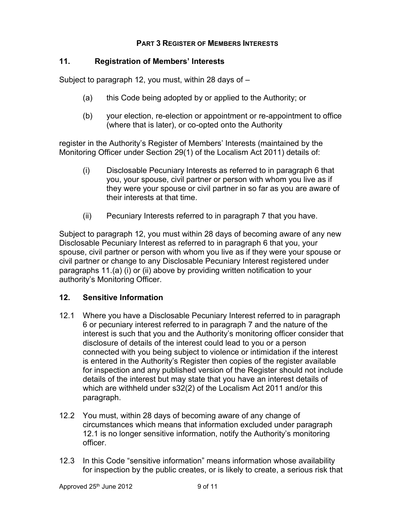#### **PART 3 REGISTER OF MEMBERS INTERESTS**

#### **11. Registration of Members' Interests**

Subject to paragraph 12, you must, within 28 days of –

- (a) this Code being adopted by or applied to the Authority; or
- (b) your election, re-election or appointment or re-appointment to office (where that is later), or co-opted onto the Authority

register in the Authority's Register of Members' Interests (maintained by the Monitoring Officer under Section 29(1) of the Localism Act 2011) details of:

- (i) Disclosable Pecuniary Interests as referred to in paragraph 6 that you, your spouse, civil partner or person with whom you live as if they were your spouse or civil partner in so far as you are aware of their interests at that time.
- (ii) Pecuniary Interests referred to in paragraph 7 that you have.

Subject to paragraph 12, you must within 28 days of becoming aware of any new Disclosable Pecuniary Interest as referred to in paragraph 6 that you, your spouse, civil partner or person with whom you live as if they were your spouse or civil partner or change to any Disclosable Pecuniary Interest registered under paragraphs 11.(a) (i) or (ii) above by providing written notification to your authority's Monitoring Officer.

#### **12. Sensitive Information**

- 12.1 Where you have a Disclosable Pecuniary Interest referred to in paragraph 6 or pecuniary interest referred to in paragraph 7 and the nature of the interest is such that you and the Authority's monitoring officer consider that disclosure of details of the interest could lead to you or a person connected with you being subject to violence or intimidation if the interest is entered in the Authority's Register then copies of the register available for inspection and any published version of the Register should not include details of the interest but may state that you have an interest details of which are withheld under s32(2) of the Localism Act 2011 and/or this paragraph.
- 12.2 You must, within 28 days of becoming aware of any change of circumstances which means that information excluded under paragraph 12.1 is no longer sensitive information, notify the Authority's monitoring officer.
- 12.3 In this Code "sensitive information" means information whose availability for inspection by the public creates, or is likely to create, a serious risk that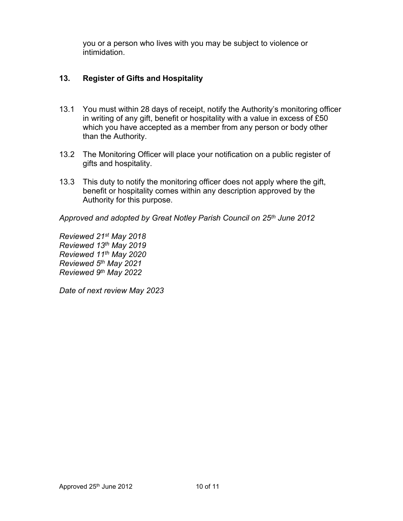you or a person who lives with you may be subject to violence or intimidation.

## **13. Register of Gifts and Hospitality**

- 13.1 You must within 28 days of receipt, notify the Authority's monitoring officer in writing of any gift, benefit or hospitality with a value in excess of £50 which you have accepted as a member from any person or body other than the Authority.
- 13.2 The Monitoring Officer will place your notification on a public register of gifts and hospitality.
- 13.3 This duty to notify the monitoring officer does not apply where the gift, benefit or hospitality comes within any description approved by the Authority for this purpose.

*Approved and adopted by Great Notley Parish Council on 25th June 2012*

*Reviewed 21st May 2018 Reviewed 13th May 2019 Reviewed 11th May 2020 Reviewed 5th May 2021 Reviewed 9th May 2022*

*Date of next review May 2023*